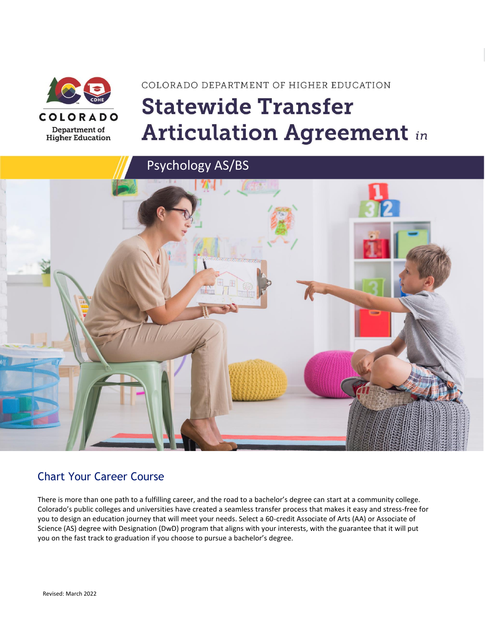

# COLORADO DEPARTMENT OF HIGHER EDUCATION **Statewide Transfer Articulation Agreement in**



### Chart Your Career Course

There is more than one path to a fulfilling career, and the road to a bachelor's degree can start at a community college. Colorado's public colleges and universities have created a seamless transfer process that makes it easy and stress-free for you to design an education journey that will meet your needs. Select a 60-credit Associate of Arts (AA) or Associate of Science (AS) degree with Designation (DwD) program that aligns with your interests, with the guarantee that it will put you on the fast track to graduation if you choose to pursue a bachelor's degree.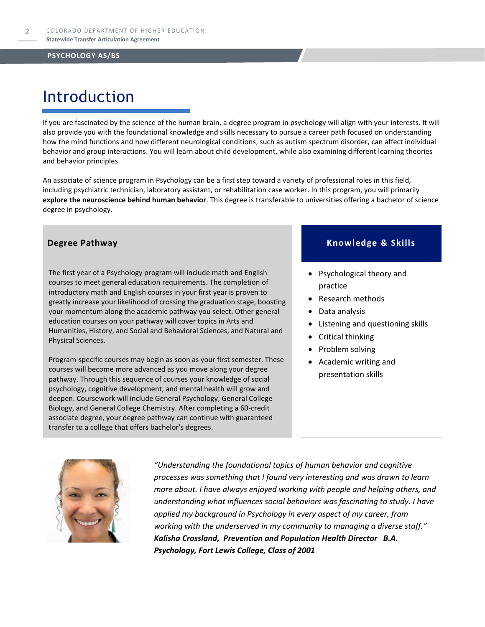### Introduction

If you are fascinated by the science of the human brain, a degree program in psychology will align with your interests. It will also provide you with the foundational knowledge and skills necessary to pursue a career path focused on understanding how the mind functions and how different neurological conditions, such as autism spectrum disorder, can affect individual behavior and group interactions. You will learn about child development, while also examining different learning theories and behavior principles.

An associate of science program in Psychology can be a first step toward a variety of professional roles in this field, including psychiatric technician, laboratory assistant, or rehabilitation case worker. In this program, you will primarily **explore the neuroscience behind human behavior**. This degree is transferable to universities offering a bachelor of science degree in psychology.

The first year of a Psychology program will include math and English courses to meet general education requirements. The completion of introductory math and English courses in your first year is proven to greatly increase your likelihood of crossing the graduation stage, boosting your momentum along the academic pathway you select. Other general education courses on your pathway will cover topics in Arts and Humanities, History, and Social and Behavioral Sciences, and Natural and Physical Sciences.

Program-specific courses may begin as soon as your first semester. These courses will become more advanced as you move along your degree pathway. Through this sequence of courses your knowledge of social psychology, cognitive development, and mental health will grow and deepen. Coursework will include General Psychology, General College Biology, and General College Chemistry. After completing a 60-credit associate degree, your degree pathway can continue with guaranteed transfer to a college that offers bachelor's degrees.

#### **Degree Pathway Knowledge & Skills**

- Psychological theory and practice
- Research methods
- Data analysis
- Listening and questioning skills
- Critical thinking
- Problem solving
- Academic writing and presentation skills



*"Understanding the foundational topics of human behavior and cognitive processes was something that I found very interesting and was drawn to learn more about. I have always enjoyed working with people and helping others, and understanding what influences social behaviors was fascinating to study. I have applied my background in Psychology in every aspect of my career, from working with the underserved in my community to managing a diverse staff." Kalisha Crossland, Prevention and Population Health Director B.A. Psychology, Fort Lewis College, Class of 2001*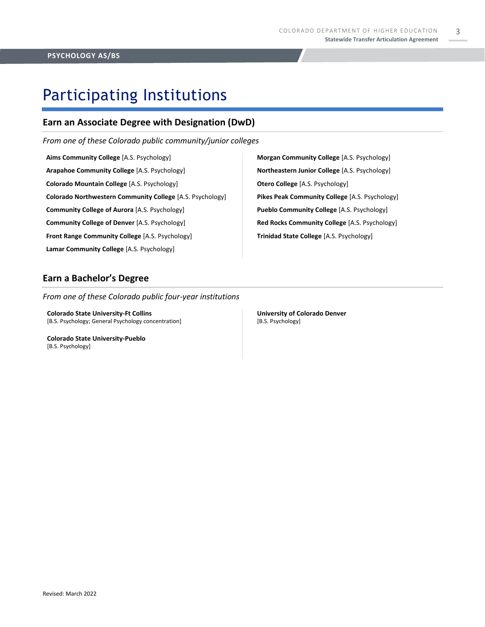3

### Participating Institutions

### **Earn an Associate Degree with Designation (DwD)**

*From one of these Colorado public community/junior colleges*

**Aims Community College** [A.S. Psychology] **Arapahoe Community College** [A.S. Psychology] **Colorado Mountain College** [A.S. Psychology] **Colorado Northwestern Community College** [A.S. Psychology] **Community College of Aurora** [A.S. Psychology] **Community College of Denver** [A.S. Psychology] **Front Range Community College** [A.S. Psychology] **Lamar Community College** [A.S. Psychology]

**Morgan Community College** [A.S. Psychology] **Northeastern Junior College** [A.S. Psychology] **Otero College** [A.S. Psychology] **Pikes Peak Community College** [A.S. Psychology] **Pueblo Community College** [A.S. Psychology] **Red Rocks Community College** [A.S. Psychology] **Trinidad State College** [A.S. Psychology]

#### **Earn a Bachelor's Degree**

*From one of these Colorado public four-year institutions*

**Colorado State University-Ft Collins**  [B.S. Psychology; General Psychology concentration]

**Colorado State University-Pueblo**  [B.S. Psychology]

**University of Colorado Denver** [B.S. Psychology]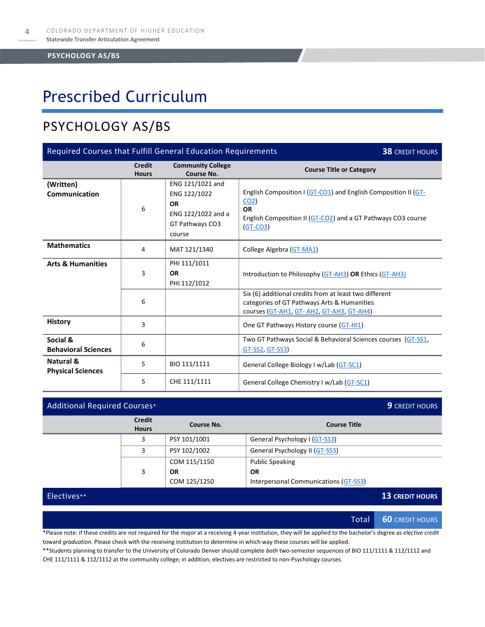### Prescribed Curriculum

### PSYCHOLOGY AS/BS

| Required Courses that Fulfill General Education Requirements<br><b>38 CREDIT HOURS</b> |                               |                                                                                                  |                                                                                                                                                                              |  |
|----------------------------------------------------------------------------------------|-------------------------------|--------------------------------------------------------------------------------------------------|------------------------------------------------------------------------------------------------------------------------------------------------------------------------------|--|
|                                                                                        | <b>Credit</b><br><b>Hours</b> | <b>Community College</b><br>Course No.                                                           | <b>Course Title or Category</b>                                                                                                                                              |  |
| (Written)<br>Communication                                                             | 6                             | ENG 121/1021 and<br>ENG 122/1022<br><b>OR</b><br>ENG 122/1022 and a<br>GT Pathways CO3<br>course | English Composition I (GT-CO1) and English Composition II (GT-<br>CO <sub>2</sub><br><b>OR</b><br>English Composition II (GT-CO2) and a GT Pathways CO3 course<br>$(GT-CO3)$ |  |
| <b>Mathematics</b>                                                                     | 4                             | MAT 121/1340                                                                                     | College Algebra (GT-MA1)                                                                                                                                                     |  |
| <b>Arts &amp; Humanities</b>                                                           | $\overline{3}$                | PHI 111/1011<br><b>OR</b><br>PHI 112/1012                                                        | Introduction to Philosophy (GT-AH3) OR Ethics (GT-AH3)                                                                                                                       |  |
|                                                                                        | 6                             |                                                                                                  | Six (6) additional credits from at least two different<br>categories of GT Pathways Arts & Humanities<br>courses (GT-AH1, GT-AH2, GT-AH3, GT-AH4)                            |  |
| <b>History</b>                                                                         | 3                             |                                                                                                  | One GT Pathways History course (GT-HI1)                                                                                                                                      |  |
| Social &<br><b>Behavioral Sciences</b>                                                 | 6                             |                                                                                                  | Two GT Pathways Social & Behavioral Sciences courses (GT-SS1,<br>GT-SS2, GT-SS3)                                                                                             |  |
| Natural &<br><b>Physical Sciences</b>                                                  | 5                             | BIO 111/1111                                                                                     | General College Biology I w/Lab (GT-SC1)                                                                                                                                     |  |
|                                                                                        | 5                             | CHE 111/1111                                                                                     | General College Chemistry I w/Lab (GT-SC1)                                                                                                                                   |  |

| <b>Additional Required Courses*</b> |              |                                       | <b>9</b> CREDIT HOURS  |
|-------------------------------------|--------------|---------------------------------------|------------------------|
| <b>Credit</b><br><b>Hours</b>       | Course No.   | <b>Course Title</b>                   |                        |
| 3                                   | PSY 101/1001 | General Psychology I (GT-SS3)         |                        |
| 3                                   | PSY 102/1002 | General Psychology II (GT-SS3)        |                        |
|                                     | COM 115/1150 | <b>Public Speaking</b>                |                        |
| 3                                   | <b>OR</b>    | <b>OR</b>                             |                        |
|                                     | COM 125/1250 | Interpersonal Communications (GT-SS3) |                        |
|                                     |              |                                       | <b>13 CREDIT HOURS</b> |
|                                     |              |                                       |                        |
|                                     |              |                                       |                        |

Total **60** CREDIT HOURS

\*Please note: if these credits are *not* required for the *major* at a receiving 4-year institution, they will be applied to the bachelor's degree as *elective credit* toward *graduation.* Please check with the receiving institution to determine in which way these courses will be applied.

\*\*Students planning to transfer to the University of Colorado Denver should complete *both* two-semester sequences of BIO 111/1111 & 112/1112 and CHE 111/1111 & 112/1112 at the community college; in addition, electives are restricted to non-Psychology courses.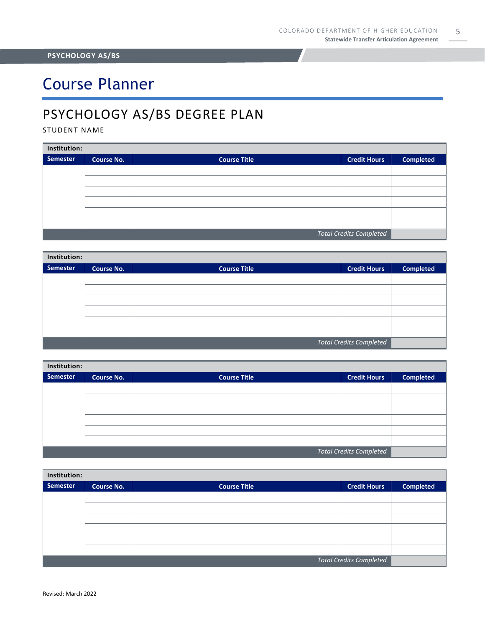## Course Planner

### PSYCHOLOGY AS/BS DEGREE PLAN

#### STUDENT NAME

| Institution:                   |                   |                     |                     |                  |  |
|--------------------------------|-------------------|---------------------|---------------------|------------------|--|
| Semester                       | <b>Course No.</b> | <b>Course Title</b> | <b>Credit Hours</b> | <b>Completed</b> |  |
|                                |                   |                     |                     |                  |  |
|                                |                   |                     |                     |                  |  |
|                                |                   |                     |                     |                  |  |
|                                |                   |                     |                     |                  |  |
|                                |                   |                     |                     |                  |  |
|                                |                   |                     |                     |                  |  |
| <b>Total Credits Completed</b> |                   |                     |                     |                  |  |

| Institution:                   |                   |                     |                     |                  |  |  |
|--------------------------------|-------------------|---------------------|---------------------|------------------|--|--|
| <b>Semester</b>                | <b>Course No.</b> | <b>Course Title</b> | <b>Credit Hours</b> | <b>Completed</b> |  |  |
|                                |                   |                     |                     |                  |  |  |
|                                |                   |                     |                     |                  |  |  |
|                                |                   |                     |                     |                  |  |  |
|                                |                   |                     |                     |                  |  |  |
|                                |                   |                     |                     |                  |  |  |
|                                |                   |                     |                     |                  |  |  |
| <b>Total Credits Completed</b> |                   |                     |                     |                  |  |  |

| Institution:                   |                   |                     |                     |                  |  |
|--------------------------------|-------------------|---------------------|---------------------|------------------|--|
| Semester                       | <b>Course No.</b> | <b>Course Title</b> | <b>Credit Hours</b> | <b>Completed</b> |  |
|                                |                   |                     |                     |                  |  |
|                                |                   |                     |                     |                  |  |
|                                |                   |                     |                     |                  |  |
|                                |                   |                     |                     |                  |  |
|                                |                   |                     |                     |                  |  |
|                                |                   |                     |                     |                  |  |
| <b>Total Credits Completed</b> |                   |                     |                     |                  |  |

| Institution:                   |                   |                     |                     |                  |  |
|--------------------------------|-------------------|---------------------|---------------------|------------------|--|
| Semester                       | <b>Course No.</b> | <b>Course Title</b> | <b>Credit Hours</b> | <b>Completed</b> |  |
|                                |                   |                     |                     |                  |  |
|                                |                   |                     |                     |                  |  |
|                                |                   |                     |                     |                  |  |
|                                |                   |                     |                     |                  |  |
|                                |                   |                     |                     |                  |  |
|                                |                   |                     |                     |                  |  |
| <b>Total Credits Completed</b> |                   |                     |                     |                  |  |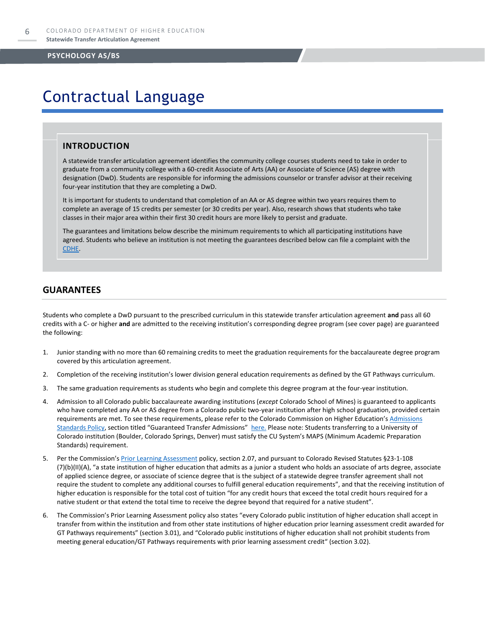### Contractual Language

#### **INTRODUCTION**

A statewide transfer articulation agreement identifies the community college courses students need to take in order to graduate from a community college with a 60-credit Associate of Arts (AA) or Associate of Science (AS) degree with designation (DwD). Students are responsible for informing the admissions counselor or transfer advisor at their receiving four-year institution that they are completing a DwD.

It is important for students to understand that completion of an AA or AS degree within two years requires them to complete an average of 15 credits per semester (or 30 credits per year). Also, research shows that students who take classes in their major area within their first 30 credit hours are more likely to persist and graduate.

The guarantees and limitations below describe the minimum requirements to which all participating institutions have agreed. Students who believe an institution is not meeting the guarantees described below can file a complaint with the [CDHE.](https://highered.colorado.gov/filing-student-complaint)

#### **GUARANTEES**

Students who complete a DwD pursuant to the prescribed curriculum in this statewide transfer articulation agreement **and** pass all 60 credits with a C- or higher **and** are admitted to the receiving institution's corresponding degree program (see cover page) are guaranteed the following:

- 1. Junior standing with no more than 60 remaining credits to meet the graduation requirements for the baccalaureate degree program covered by this articulation agreement.
- 2. Completion of the receiving institution's lower division general education requirements as defined by the GT Pathways curriculum.
- 3. The same graduation requirements as students who begin and complete this degree program at the four-year institution.
- 4. Admission to all Colorado public baccalaureate awarding institutions (*except* Colorado School of Mines) is guaranteed to applicants who have completed any AA or AS degree from a Colorado public two-year institution after high school graduation, provided certain requirements are met. To see these requirements, please refer to the Colorado Commission on Higher Education's Admissions [Standards Policy](https://highered.colorado.gov/sites/highered/files/2020-03/i-partf_0.pdf), section titled "Guaranteed Transfer Admissions" [here.](https://highered.colorado.gov/educators/policy-funding/cche-policies-procedures) Please note: Students transferring to a University of Colorado institution (Boulder, Colorado Springs, Denver) must satisfy the CU System's MAPS (Minimum Academic Preparation Standards) requirement.
- 5. Per the Commission's [Prior Learning Assessment](https://highered.colorado.gov/sites/highered/files/2020-03/i-partx.pdf) policy, section 2.07, and pursuant to Colorado Revised Statutes §23-1-108 (7)(b)(II)(A), "a state institution of higher education that admits as a junior a student who holds an associate of arts degree, associate of applied science degree, or associate of science degree that is the subject of a statewide degree transfer agreement shall not require the student to complete any additional courses to fulfill general education requirements", and that the receiving institution of higher education is responsible for the total cost of tuition "for any credit hours that exceed the total credit hours required for a native student or that extend the total time to receive the degree beyond that required for a native student".
- 6. The Commission's Prior Learning Assessment policy also states "every Colorado public institution of higher education shall accept in transfer from within the institution and from other state institutions of higher education prior learning assessment credit awarded for GT Pathways requirements" (section 3.01), and "Colorado public institutions of higher education shall not prohibit students from meeting general education/GT Pathways requirements with prior learning assessment credit" (section 3.02).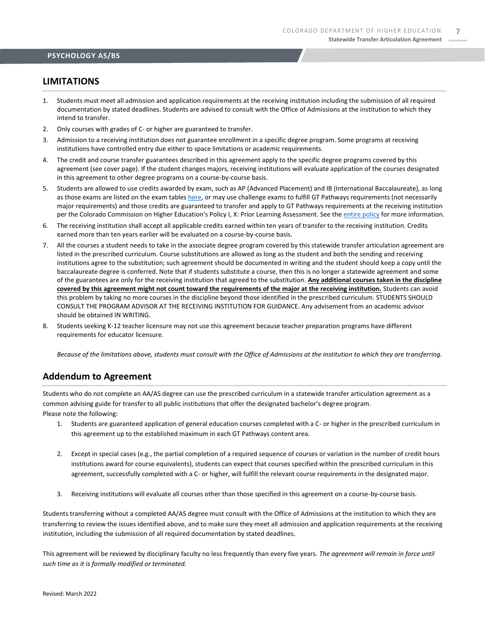#### **LIMITATIONS**

- 1. Students must meet all admission and application requirements at the receiving institution including the submission of all required documentation by stated deadlines. Students are advised to consult with the Office of Admissions at the institution to which they intend to transfer.
- 2. Only courses with grades of C- or higher are guaranteed to transfer.
- 3. Admission to a receiving institution does not guarantee enrollment in a specific degree program. Some programs at receiving institutions have controlled entry due either to space limitations or academic requirements.
- 4. The credit and course transfer guarantees described in this agreement apply to the specific degree programs covered by this agreement (see cover page). If the student changes majors, receiving institutions will evaluate application of the courses designated in this agreement to other degree programs on a course-by-course basis.
- 5. Students are allowed to use credits awarded by exam, such as AP (Advanced Placement) and IB (International Baccalaureate), as long as those exams are listed on the exam table[s here,](https://highered.colorado.gov/get-credit-for-what-you-already-know) or may use challenge exams to fulfill GT Pathways requirements (not necessarily major requirements) and those credits are guaranteed to transfer and apply to GT Pathways requirements at the receiving institution per the Colorado Commission on Higher Education's Policy I, X: Prior Learning Assessment. See the [entire policy](https://highered.colorado.gov/sites/highered/files/2020-03/i-partx.pdf) for more information.
- 6. The receiving institution shall accept all applicable credits earned within ten years of transfer to the receiving institution. Credits earned more than ten years earlier will be evaluated on a course-by-course basis.
- 7. All the courses a student needs to take in the associate degree program covered by this statewide transfer articulation agreement are listed in the prescribed curriculum. Course substitutions are allowed as long as the student and both the sending and receiving institutions agree to the substitution; such agreement should be documented in writing and the student should keep a copy until the baccalaureate degree is conferred. Note that if students substitute a course, then this is no longer a statewide agreement and some of the guarantees are only for the receiving institution that agreed to the substitution. **Any additional courses taken in the discipline covered by this agreement might not count toward the requirements of the major at the receiving institution.** Students can avoid this problem by taking no more courses in the discipline beyond those identified in the prescribed curriculum. STUDENTS SHOULD CONSULT THE PROGRAM ADVISOR AT THE RECEIVING INSTITUTION FOR GUIDANCE. Any advisement from an academic advisor should be obtained IN WRITING.
- 8. Students seeking K-12 teacher licensure may not use this agreement because teacher preparation programs have different requirements for educator licensure.

*Because of the limitations above, students must consult with the Office of Admissions at the institution to which they are transferring.*

#### **Addendum to Agreement**

Students who do not complete an AA/AS degree can use the prescribed curriculum in a statewide transfer articulation agreement as a common advising guide for transfer to all public institutions that offer the designated bachelor's degree program. Please note the following:

- 1. Students are guaranteed application of general education courses completed with a C- or higher in the prescribed curriculum in this agreement up to the established maximum in each GT Pathways content area.
- 2. Except in special cases (e.g., the partial completion of a required sequence of courses or variation in the number of credit hours institutions award for course equivalents), students can expect that courses specified within the prescribed curriculum in this agreement, successfully completed with a C- or higher, will fulfill the relevant course requirements in the designated major.
- 3. Receiving institutions will evaluate all courses other than those specified in this agreement on a course-by-course basis.

Students transferring without a completed AA/AS degree must consult with the Office of Admissions at the institution to which they are transferring to review the issues identified above, and to make sure they meet all admission and application requirements at the receiving institution, including the submission of all required documentation by stated deadlines.

This agreement will be reviewed by disciplinary faculty no less frequently than every five years. *The agreement will remain in force until such time as it is formally modified or terminated.*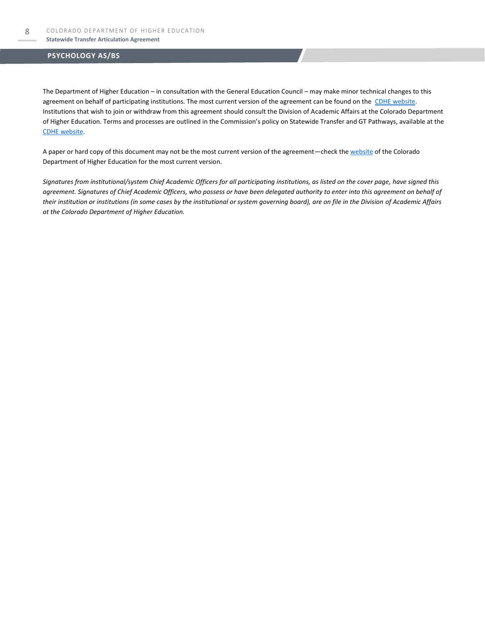The Department of Higher Education – in consultation with the General Education Council – may make minor technical changes to this agreement on behalf of participating institutions. The most current version of the agreement can be found on the [CDHE website.](https://highered.colorado.gov/transfer-degrees) Institutions that wish to join or withdraw from this agreement should consult the Division of Academic Affairs at the Colorado Department of Higher Education. Terms and processes are outlined in the Commission's policy on Statewide Transfer and GT Pathways, available at the [CDHE website.](https://highered.colorado.gov/educators/policy-funding/general-education-ge-council/gtpathways/transfer-agreements)

A paper or hard copy of this document may not be the most current version of the agreement—check th[e website](https://highered.colorado.gov/transfer-degrees) of the Colorado Department of Higher Education for the most current version.

*Signatures from institutional/system Chief Academic Officers for all participating institutions, as listed on the cover page, have signed this agreement. Signatures of Chief Academic Officers, who possess or have been delegated authority to enter into this agreement on behalf of their institution or institutions (in some cases by the institutional or system governing board), are on file in the Division of Academic Affairs at the Colorado Department of Higher Education.*